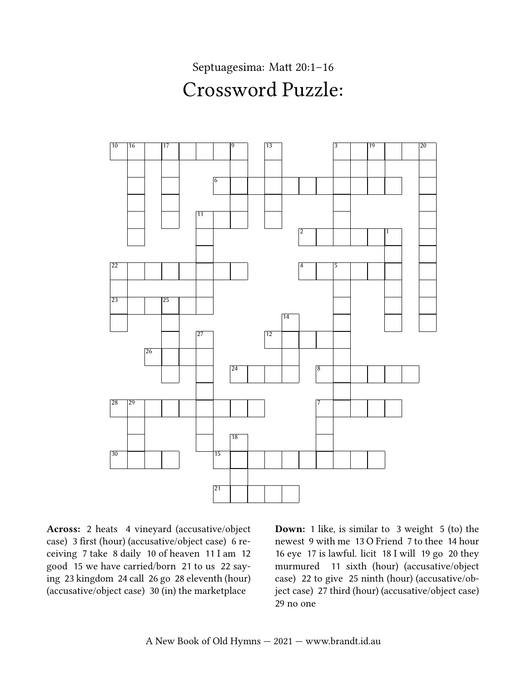## Septuagesima: Matt 20:1–16 Crossword Puzzle:



Across: 2 heats 4 vineyard (accusative/object case) 3 first (hour) (accusative/object case) 6 receiving 7 take 8 daily 10 of heaven 11 I am 12 good 15 we have carried/born 21 to us 22 saying 23 kingdom 24 call 26 go 28 eleventh (hour) (accusative/object case) 30 (in) the marketplace

Down: 1 like, is similar to 3 weight 5 (to) the newest 9 with me 13 O Friend 7 to thee 14 hour 16 eye 17 is lawful. licit 18 I will 19 go 20 they murmured 11 sixth (hour) (accusative/object case) 22 to give 25 ninth (hour) (accusative/object case) 27 third (hour) (accusative/object case) 29 no one